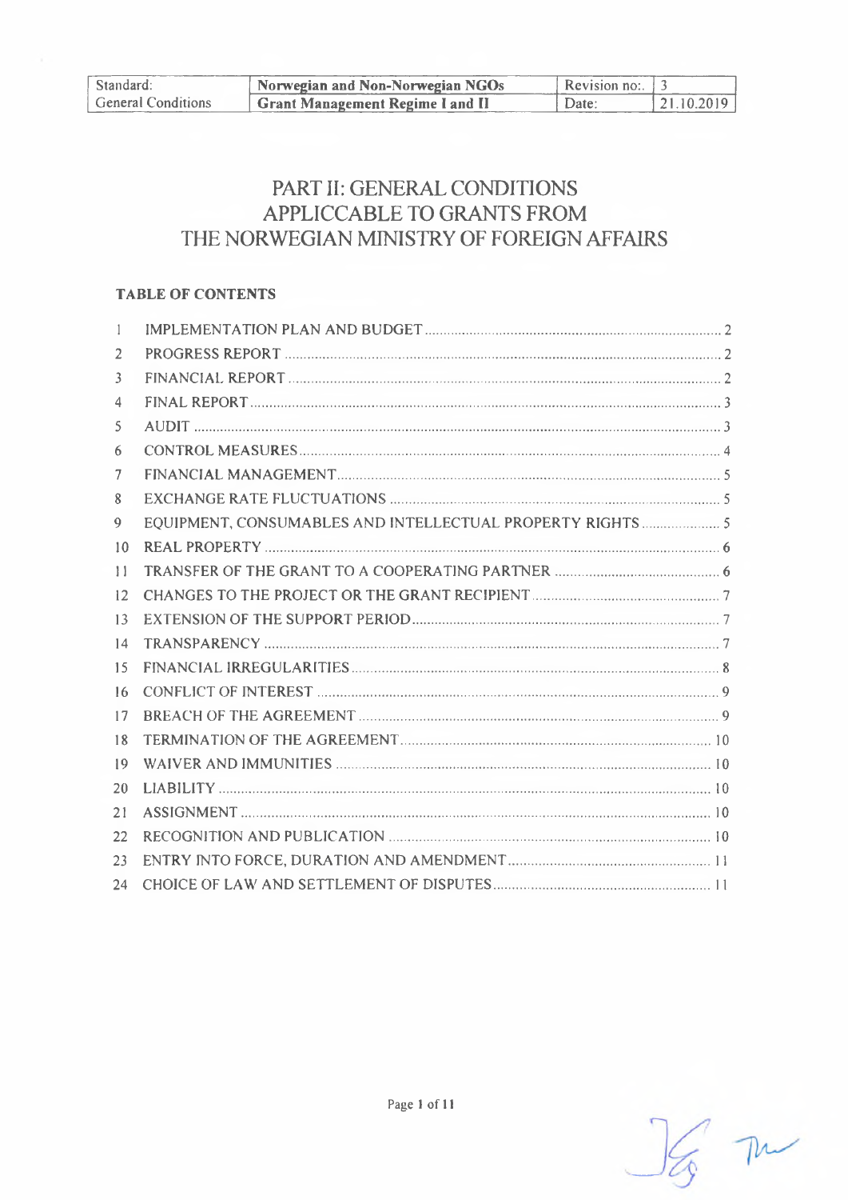| Standard:                 | Norwegian and Non-Norwegian NGOs        | Revision no: $\frac{1}{3}$ |             |
|---------------------------|-----------------------------------------|----------------------------|-------------|
| <b>General Conditions</b> | <b>Grant Management Regime I and II</b> | $\sum_{i=1}^{n}$           | 121.10.2019 |

# PART II: GENERAL CONDITIONS APPLICCABLE TO GRANTS FROM THE NORWEGIAN MINISTRY OF FOREIGN AFFAIRS

# **TABLE OF CONTENTS**

| 2            |                                                            |
|--------------|------------------------------------------------------------|
| 3            |                                                            |
| 4            |                                                            |
| 5            |                                                            |
| 6            |                                                            |
| 7            |                                                            |
| 8            |                                                            |
| 9            | EQUIPMENT, CONSUMABLES AND INTELLECTUAL PROPERTY RIGHTS  5 |
| 10           |                                                            |
| $\mathbf{1}$ |                                                            |
| 12           |                                                            |
| 13           |                                                            |
| 14           |                                                            |
| 15           |                                                            |
| 16           |                                                            |
| 17           |                                                            |
| 18           |                                                            |
| 19           |                                                            |
| 20           |                                                            |
| 21           |                                                            |
| 22           |                                                            |
| 23           |                                                            |
| 24           |                                                            |

 $\frac{1}{3}$  m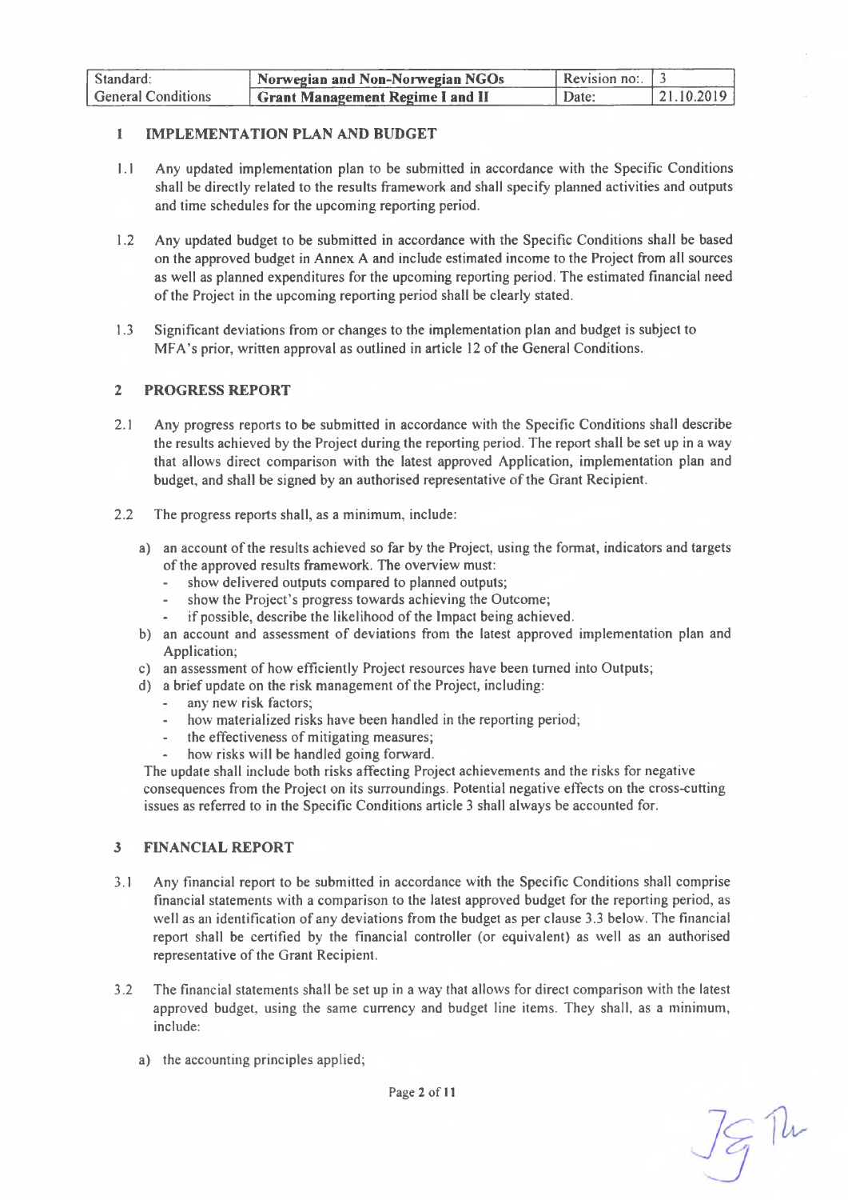| Standard:                 | Norwegian and Non-Norwegian NGOs | Revision no: $\vert 3 \rangle$ |            |
|---------------------------|----------------------------------|--------------------------------|------------|
| <b>General Conditions</b> | Grant Management Regime I and II | Date:                          | 21.10.2019 |

#### <span id="page-1-0"></span>**<sup>1</sup> IMPLEMENTATION PLAN AND BUDGET**

- 1.1 Any updated implementation plan to be submitted in accordance with the Specific Conditions shall be directly related to the results framework and shall specify planned activities and outputs and time schedules for the upcoming reporting period.
- 1.2 Any updated budget to be submitted in accordance with the Specific Conditions shall be based on the approved budget in Annex A and include estimated income to the Project from all sources as well as planned expenditures for the upcoming reporting period. The estimated financial need ofthe Project in the upcoming reporting period shall be clearly stated.
- 1.3 Significant deviations from or changes to the implementation plan and budget is subject to MFA's prior, written approval as outlined in article 12 of the General Conditions.

#### <span id="page-1-1"></span>**2 PROGRESS REPORT**

- 2.1 Any progress reports to be submitted in accordance with the Specific Conditions shall describe the results achieved by the Project during the reporting period. The report shall be set up in a way that allows direct comparison with the latest approved Application, implementation plan and budget, and shall be signed by an authorised representative ofthe Grant Recipient.
- 2.2 The progress reports shall, as a minimum, include:
	- a) an account of the results achieved so far by the Project, using the format, indicators and targets of the approved results framework. The overview must:
		- show delivered outputs compared to planned outputs;
		- show the Project's progress towards achieving the Outcome;
		- if possible, describe the likelihood of the Impact being achieved.
	- b) an account and assessment of deviations from the latest approved implementation plan and Application;
	- c) an assessment of how efficiently Project resources have been turned into Outputs;
	- d) a brief update on the risk management of the Project, including:
		- any new risk factors;
		- how materialized risks have been handled in the reporting period;
		- the effectiveness of mitigating measures;
		- how risks will be handled going forward.

The update shall include both risks affecting Project achievements and the risks for negative consequences from the Project on its surroundings. Potential negative effects on the cross-cutting issues as referred to in the Specific Conditions article 3 shall always be accounted for.

#### <span id="page-1-2"></span>**3 FINANCIAL REPORT**

- 3.1 Any financial report to be submitted in accordance with the Specific Conditions shall comprise financial statements with a comparison to the latest approved budget for the reporting period, as well as an identification of any deviations from the budget as per clause 3.3 below. The financial report shall be certified by the financial controller (or equivalent) as well as an authorised representative of the Grant Recipient.
- 3.2 The financial statements shall be set up in a way that allows for direct comparison with the latest approved budget, using the same currency and budget line items. They shall, as a minimum, include:
	- a) the accounting principles applied;

79 M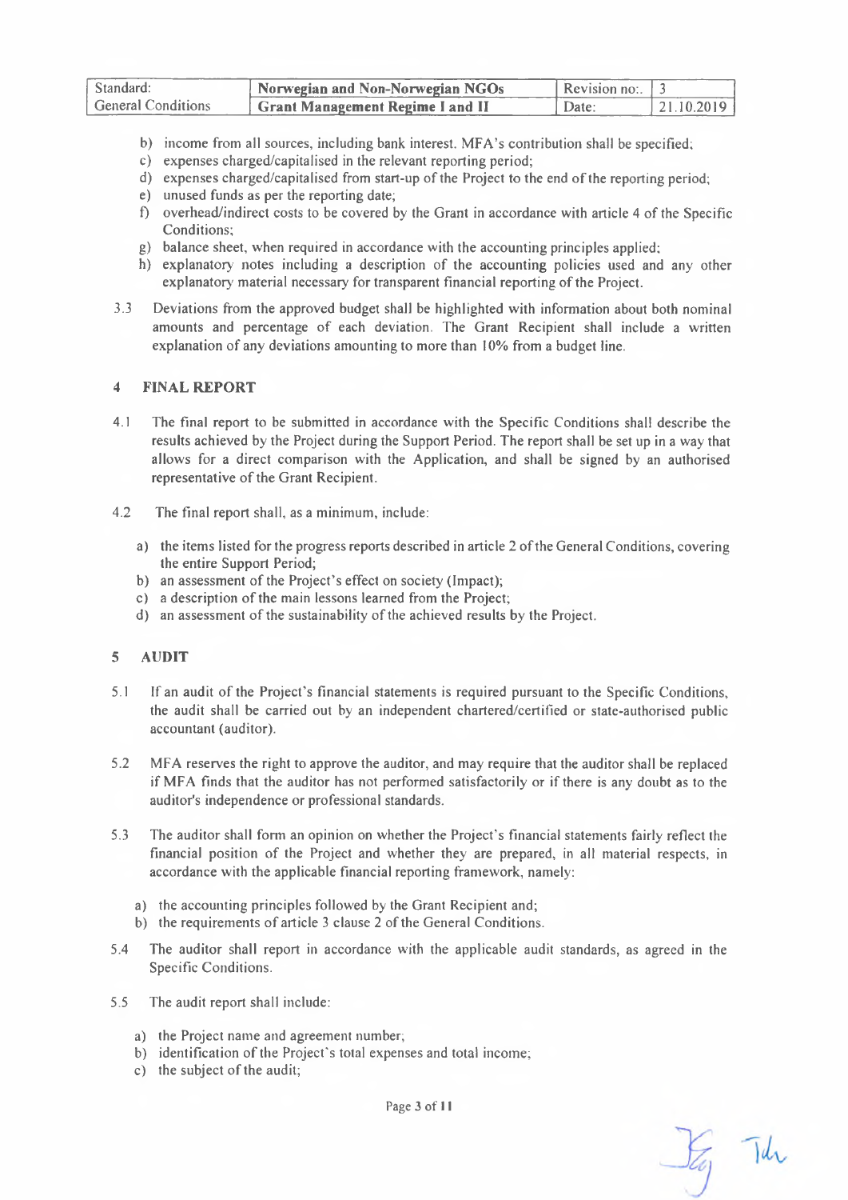| Standard:                 | Norwegian and Non-Norwegian NGOs        | Revision no: $\pm$ |            |
|---------------------------|-----------------------------------------|--------------------|------------|
| <b>General Conditions</b> | <b>Grant Management Regime I and II</b> | Date:              | 21.10.2019 |

- b) income from all sources, including bank interest. MFA's contribution shall be specified;
- c) expenses charged/capitalised in the relevant reporting period;
- d) expenses charged/capitalised from start-up ofthe Project to the end ofthe reporting period;
- e) unused funds as per the reporting date;
- f) overhead/indirect costs to be covered by the Grant in accordance with article 4 ofthe Specific Conditions;
- g) balance sheet, when required in accordance with the accounting principles applied;
- h) explanatory notes including a description of the accounting policies used and any other explanatory material necessary for transparent financial reporting of the Project.
- 3.3 Deviations from the approved budget shall be highlighted with information about both nominal amounts and percentage of each deviation. The Grant Recipient shall include a written explanation of any deviations amounting to more than 10% from a budget line.

## <span id="page-2-0"></span>**4 FINAL REPORT**

- 4.1 The final report to be submitted in accordance with the Specific Conditions shall describe the results achieved by the Project during the Support Period. The report shall be set up in a way that allows for a direct comparison with the Application, and shall be signed by an authorised representative of the Grant Recipient.
- 4.2 The final report shall, as a minimum, include:
	- a) the items listed for the progress reports described in article 2 ofthe General Conditions, covering the entire Support Period;
	- b) an assessment of the Project's effect on society (Impact);
	- c) a description of the main lessons learned from the Project;
	- d) an assessment of the sustainability of the achieved results by the Project.

#### <span id="page-2-1"></span>**5 AUDIT**

- 5.1 If an audit of the Project's financial statements is required pursuant to the Specific Conditions, the audit shall be carried out by an independent chartered/certified or state-authorised public accountant (auditor).
- 5.2 MFA reserves the right to approve the auditor, and may require that the auditor shall be replaced if MFA finds that the auditor has not performed satisfactorily or if there is any doubt as to the auditor's independence or professional standards.
- 5.3 The auditor shall form an opinion on whether the Project's financial statements fairly reflect the financial position of the Project and whether they are prepared, in all material respects, in accordance with the applicable financial reporting framework, namely:
	- a) the accounting principles followed by the Grant Recipient and;
	- b) the requirements of article 3 clause 2 of the General Conditions.
- 5.4 The auditor shall report in accordance with the applicable audit standards, as agreed in the Specific Conditions.
- 5.5 The audit report shall include:
	- a) the Project name and agreement number;
	- b) identification of the Project's total expenses and total income;
	- c) the subject of the audit;

Page 3 of <sup>11</sup>

Say The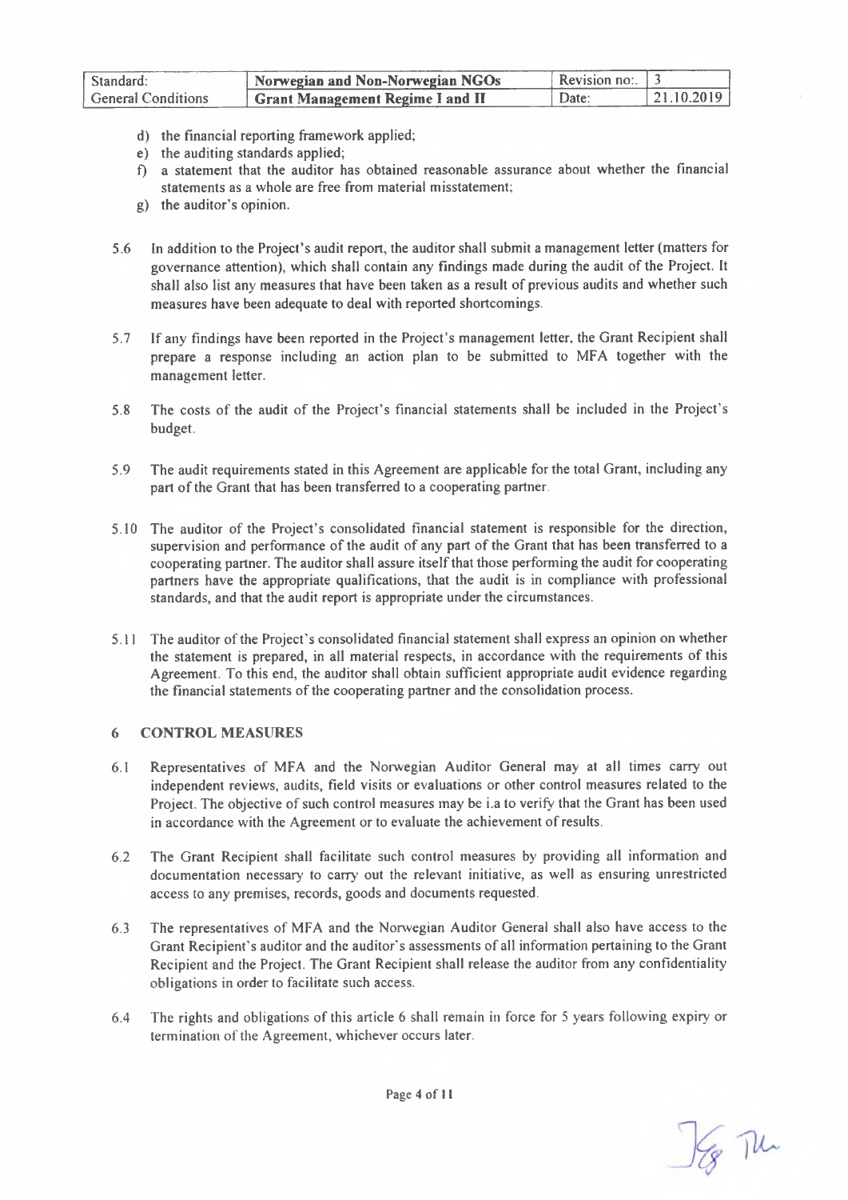| Standard:                 | Norwegian and Non-Norwegian NGOs         | Revision no: $\Box$ |             |
|---------------------------|------------------------------------------|---------------------|-------------|
| <b>General Conditions</b> | <b>Strant Management Regime I and II</b> | Date:               | 121.10.2019 |

- d) the financial reporting framework applied;
- e) the auditing standards applied;
- f) a statement that the auditor has obtained reasonable assurance about whether the financial statements as a whole are free from material misstatement;
- g) the auditor's opinion.
- 5.6 In addition to the Project's audit report, the auditor shall submit a management letter (matters for governance attention), which shall contain any findings made during the audit of the Project. It shall also list any measures that have been taken as a result of previous audits and whether such measures have been adequate to deal with reported shortcomings.
- 5.7 If any findings have been reported in the Project's management letter, the Grant Recipient shall prepare a response including an action plan to be submitted to MFA together with the management letter.
- 5.8 The costs of the audit of the Project's financial statements shall be included in the Project's budget.
- 5.9 The audit requirements stated in this Agreement are applicable for the total Grant, including any part of the Grant that has been transferred to a cooperating partner.
- 5.10 The auditor of the Project's consolidated financial statement is responsible for the direction, supervision and performance of the audit of any part of the Grant that has been transferred to a cooperating partner. The auditor shall assure itselfthat those performing the audit for cooperating partners have the appropriate qualifications, that the audit is in compliance with professional standards, and that the audit report is appropriate under the circumstances.
- 5.11 The auditor ofthe Project's consolidated financial statement shall express an opinion on whether the statement is prepared, in all material respects, in accordance with the requirements of this Agreement. To this end, the auditor shall obtain sufficient appropriate audit evidence regarding the financial statements of the cooperating partner and the consolidation process.

#### <span id="page-3-0"></span>**6 CONTROL MEASURES**

- 6.1 Representatives of MFA and the Norwegian Auditor General may at all times carry out independent reviews, audits, field visits or evaluations or other control measures related to the Project. The objective of such control measures may be i.a to verify that the Grant has been used in accordance with the Agreement or to evaluate the achievement of results.
- 6.2 The Grant Recipient shall facilitate such control measures by providing all information and documentation necessary to carry out the relevant initiative, as well as ensuring unrestricted access to any premises, records, goods and documents requested.
- 6.3 The representatives of MFA and the Norwegian Auditor General shall also have access to the Grant Recipient's auditor and the auditor's assessments of all information pertaining to the Grant Recipient and the Project. The Grant Recipient shall release the auditor from any confidentiality obligations in order to facilitate such access.
- 6.4 The rights and obligations of this article 6 shall remain in force for <sup>5</sup> years following expiry or termination of the Agreement, whichever occurs later.

SE The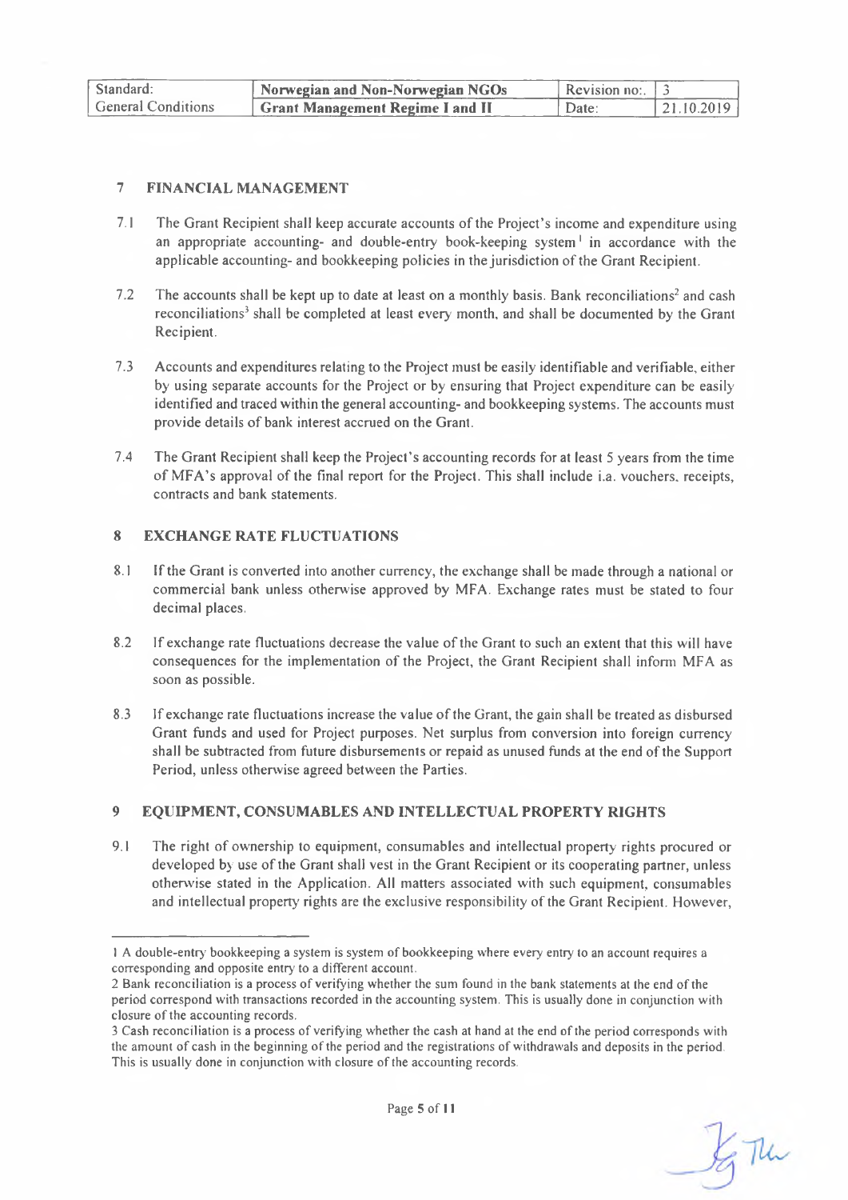| Standard:                 | Norwegian and Non-Norwegian NGOs        | Revision no: $\frac{1}{3}$ |            |
|---------------------------|-----------------------------------------|----------------------------|------------|
| <b>General Conditions</b> | <b>Grant Management Regime I and II</b> | 'Date:                     | 21.10.2019 |

#### <span id="page-4-0"></span>**7 FINANCIAL MANAGEMENT**

- 7.1 The Grant Recipient shall keep accurate accounts of the Project's income and expenditure using an appropriate accounting- and double-entry book-keeping system<sup>1</sup> in accordance with the applicable accounting- and bookkeeping policies in the jurisdiction ofthe Grant Recipient.
- 7.2 The accounts shall be kept up to date at least on a monthly basis. Bank reconciliations<sup>2</sup> and cash reconciliations<sup>3</sup> shall be completed at least every month, and shall be documented by the Grant Recipient.
- 7.3 Accounts and expenditures relating to the Project must be easily identifiable and verifiable, either by using separate accounts for the Project or by ensuring that Project expenditure can be easily identified and traced within the general accounting- and bookkeeping systems. The accounts must provide details of bank interest accrued on the Grant.
- 7.4 The Grant Recipient shall keep the Project's accounting records for at least 5 years from the time of MFA's approval of the final report for the Project. This shall include i.a. vouchers, receipts, contracts and bank statements.

## <span id="page-4-1"></span>**8 EXCHANGE RATE FLUCTUATIONS**

- 8.1 Ifthe Grant is converted into another currency, the exchange shall be made through a national or commercial bank unless otherwise approved by MFA. Exchange rates must be stated to four decimal places.
- 8.2 If exchange rate fluctuations decrease the value of the Grant to such an extent that this will have consequences for the implementation of the Project, the Grant Recipient shall inform MFA as soon as possible.
- 8.3 If exchange rate fluctuations increase the value of the Grant, the gain shall be treated as disbursed Grant funds and used for Project purposes. Net surplus from conversion into foreign currency shall be subtracted from future disbursements or repaid as unused funds at the end ofthe Support Period, unless otherwise agreed between the Parties.

# <span id="page-4-2"></span>**9 EQUIPMENT, CONSUMABLES AND INTELLECTUAL PROPERTY RIGHTS**

9.1 The right of ownership to equipment, consumables and intellectual property rights procured or developed by use of the Grant shall vest in the Grant Recipient or its cooperating partner, unless otherwise stated in the Application. All matters associated with such equipment, consumables and intellectual property rights are the exclusive responsibility of the Grant Recipient. However,

Ig The

<sup>1</sup> A double-entry bookkeeping a system is system of bookkeeping where every entry' to an account requires a corresponding and opposite entry' to a different account.

<sup>2</sup> Bank reconciliation is a process of verifying whether the sum found in the bank statements at the end ofthe period correspond with transactions recorded in the accounting system. This is usually done in conjunction with closure of the accounting records.

<sup>3</sup> Cash reconciliation is a process of verifying whether the cash at hand at the end ofthe period corresponds with the amount of cash in the beginning of the period and the registrations of withdrawals and deposits in the period. This is usually done in conjunction with closure of the accounting records.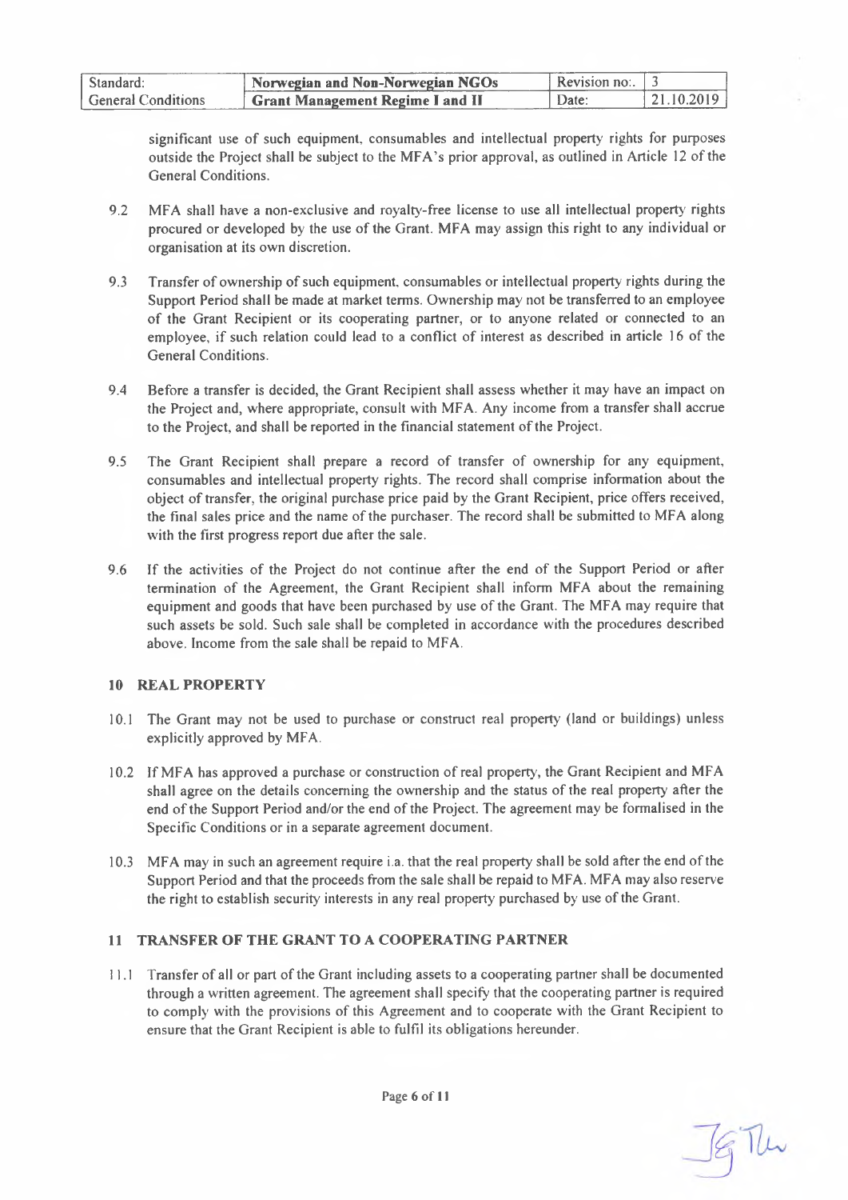| Standard:                 | Norwegian and Non-Norwegian NGOs        | . Revision no: $\pm$ ? |             |
|---------------------------|-----------------------------------------|------------------------|-------------|
| <b>General Conditions</b> | <b>Grant Management Regime I and II</b> | Date:                  | $+21102019$ |

significant use of such equipment, consumables and intellectual property rights for purposes outside the Project shall be subject to the MFA's prior approval, as outlined in Article <sup>12</sup> ofthe General Conditions.

- 9.2 MFA shall have a non-exclusive and royalty-free license to use all intellectual property rights procured or developed by the use of the Grant. MFA may assign this right to any individual or organisation at its own discretion.
- 9.3 Transfer of ownership of such equipment, consumables or intellectual property rights during the Support Period shall be made at market terms. Ownership may not be transferred to an employee of the Grant Recipient or its cooperating partner, or to anyone related or connected to an employee, if such relation could lead to a conflict of interest as described in article 16 of the General Conditions.
- 9.4 Before a transfer is decided, the Grant Recipient shall assess whether it may have an impact on the Project and, where appropriate, consult with MFA. Any income from a transfer shall accrue to the Project, and shall be reported in the financial statement of the Project.
- 9.5 The Grant Recipient shall prepare a record of transfer of ownership for any equipment, consumables and intellectual property rights. The record shall comprise information about the object oftransfer, the original purchase price paid by the Grant Recipient, price offers received, the final sales price and the name ofthe purchaser. The record shall be submitted to MFA along with the first progress report due after the sale.
- 9.6 If the activities of the Project do not continue after the end of the Support Period or after termination of the Agreement, the Grant Recipient shall inform MFA about the remaining equipment and goods that have been purchased by use ofthe Grant. The MFA may require that such assets be sold. Such sale shall be completed in accordance with the procedures described above. Income from the sale shall be repaid to MFA.

#### <span id="page-5-0"></span>**10 REAL PROPERTY**

- 10.1 The Grant may not be used to purchase or construct real property (land or buildings) unless explicitly approved by MFA.
- 10.2 If MFA has approved a purchase or construction ofreal property, the Grant Recipient and MFA shall agree on the details concerning the ownership and the status of the real property after the end of the Support Period and/or the end of the Project. The agreement may be formalised in the Specific Conditions or in a separate agreement document.
- 10.3 MFA may in such an agreement require i.a. that the real property shall be sold after the end ofthe Support Period and that the proceeds from the sale shall be repaid to MFA. MFA may also reserve the right to establish security interests in any real property purchased by use of the Grant.

#### <span id="page-5-1"></span>**11 TRANSFER OF THE GRANT TO A COOPERATING PARTNER**

11.1 Transfer of all or part ofthe Grant including assets to a cooperating partner shall be documented through a written agreement. The agreement shall specify that the cooperating partner is required to comply with the provisions of this Agreement and to cooperate with the Grant Recipient to ensure that the Grant Recipient is able to fulfil its obligations hereunder.

Page 6 of 11

SG The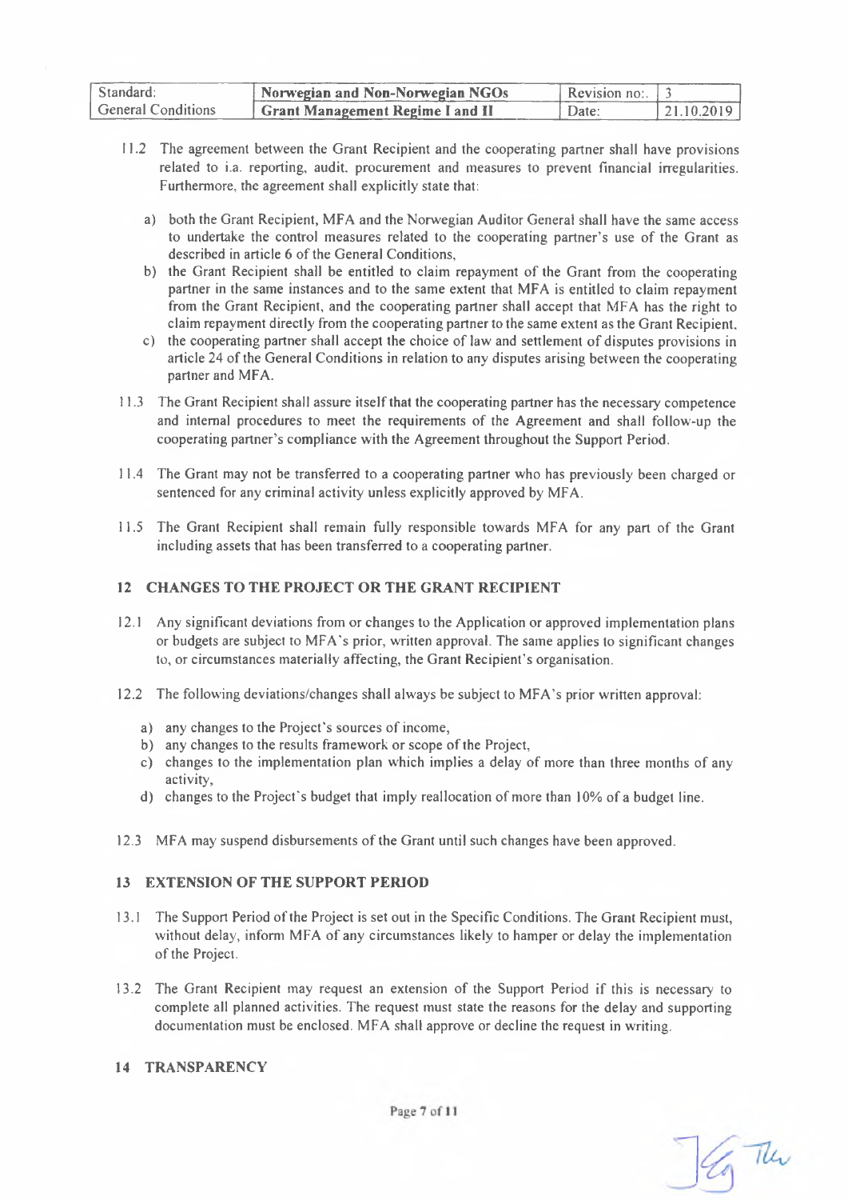| Standard:                 | Norwegian and Non-Norwegian NGOs | Revision no: $1^2$ |            |
|---------------------------|----------------------------------|--------------------|------------|
| <b>General Conditions</b> | Grant Management Regime I and II | Date:              | 21.10.2019 |

- 11.2 The agreement between the Grant Recipient and the cooperating partner shall have provisions related to i.a. reporting, audit, procurement and measures to prevent financial irregularities. Furthermore, the agreement shall explicitly state that:
	- a) both the Grant Recipient, MFA and the Norwegian Auditor General shall have the same access to undertake the control measures related to the cooperating partner's use of the Grant as described in article 6 of the General Conditions,
	- b) the Grant Recipient shall be entitled to claim repayment of the Grant from the cooperating partner in the same instances and to the same extent that MFA is entitled to claim repayment from the Grant Recipient, and the cooperating partner shall accept that MFA has the right to claim repayment directly from the cooperating partner to the same extent as the Grant Recipient,
	- c) the cooperating partner shall accept the choice of law and settlement of disputes provisions in article 24 of the General Conditions in relation to any disputes arising between the cooperating partner and MFA.
- 11.3 The Grant Recipient shall assure itselfthat the cooperating partner has the necessary competence and internal procedures to meet the requirements of the Agreement and shall follow-up the cooperating partner's compliance with the Agreement throughout the Support Period.
- 11.4 The Grant may not be transferred to a cooperating partner who has previously been charged or sentenced for any criminal activity unless explicitly approved by MFA.
- 11.5 The Grant Recipient shall remain fully responsible towards MFA for any part of the Grant including assets that has been transferred to a cooperating partner.

## <span id="page-6-0"></span>**12 CHANGES TO THE PROJECT OR THE GRANT RECIPIENT**

- 12.1 Any significant deviations from or changes to the Application or approved implementation plans or budgets are subject to MFA's prior, written approval. The same applies to significant changes to, or circumstances materially affecting, the Grant Recipient's organisation.
- 12.2 The following deviations/changes shall always be subject to MFA's prior written approval:
	- a) any changes to the Project's sources of income,
	- b) any changes to the results framework or scope of the Project,
	- c) changes to the implementation plan which implies a delay of more than three months of any activity,
	- d) changes to the Project's budget that imply reallocation of more than 10% of a budget line.
- <span id="page-6-1"></span>12.3 MFA may suspend disbursements of the Grant until such changes have been approved.

#### **13 EXTENSION OF THE SUPPORT PERIOD**

- 13.1 The Support Period ofthe Project is set out in the Specific Conditions. The Grant Recipient must, without delay, inform MFA of any circumstances likely to hamper or delay the implementation of the Project.
- 13.2 The Grant Recipient may request an extension of the Support Period if this is necessary to complete all planned activities. The request must state the reasons for the delay and supporting documentation must be enclosed. MFA shall approve or decline the request in writing.

# <span id="page-6-2"></span>**14 TRANSPARENCY**

En The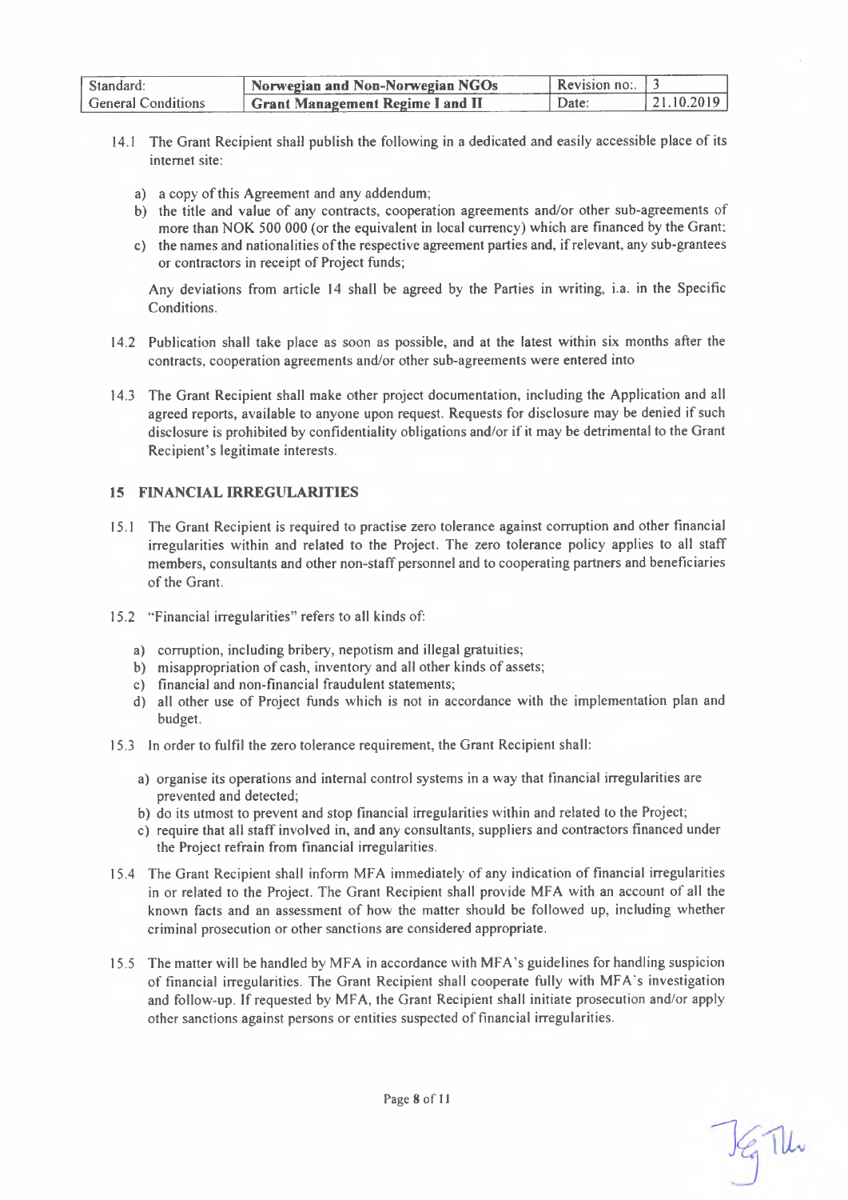| Standard:                 | <b>Norwegian and Non-Norwegian NGOs</b> | <b>Revision no:</b> $\pm$ 7 |                    |
|---------------------------|-----------------------------------------|-----------------------------|--------------------|
| <b>General Conditions</b> | <b>Grant Management Regime I and II</b> | Date:                       | $-1, 21, 10, 2019$ |

- 14.1 The Grant Recipient shall publish the following in a dedicated and easily accessible place of its internet site:
	- a) a copy of this Agreement and any addendum;
	- b) the title and value of any contracts, cooperation agreements and/or other sub-agreements of more than NOK 500 000 (or the equivalent in local currency) which are financed by the Grant;
	- c) the names and nationalities ofthe respective agreement parties and, ifrelevant, any sub-grantees or contractors in receipt of Project funds;

Any deviations from article 14 shall be agreed by the Parties in writing, i.a. in the Specific Conditions.

- 14.2 Publication shall take place as soon as possible, and at the latest within six months after the contracts, cooperation agreements and/or other sub-agreements were entered into
- 14.3 The Grant Recipient shall make other project documentation, including the Application and all agreed reports, available to anyone upon request. Requests for disclosure may be denied if such disclosure is prohibited by confidentiality obligations and/or if it may be detrimental to the Grant Recipient's legitimate interests.

#### <span id="page-7-0"></span>**15 FINANCIAL IRREGULARITIES**

- 15.1 The Grant Recipient is required to practise zero tolerance against corruption and other financial irregularities within and related to the Project. The zero tolerance policy applies to all staff members, consultants and other non-staff personnel and to cooperating partners and beneficiaries of the Grant.
- 15.2 "Financial irregularities" refers to all kinds of:
	- a) corruption, including bribery, nepotism and illegal gratuities;
	- b) misappropriation of cash, inventory and all other kinds of assets;
	- c) financial and non-financial fraudulent statements;
	- d) all other use of Project funds which is not in accordance with the implementation plan and budget.
- 15.3 In order to fulfil the zero tolerance requirement, the Grant Recipient shall:
	- a) organise its operations and internal control systems in a way that financial irregularities are prevented and detected;
	- b) do its utmost to prevent and stop financial irregularities within and related to the Project;
	- c) require that all staff involved in, and any consultants, suppliers and contractors financed under the Project refrain from financial irregularities.
- 15.4 The Grant Recipient shall inform MFA immediately of any indication of financial irregularities in or related to the Project. The Grant Recipient shall provide MFA with an account of all the known facts and an assessment of how the matter should be followed up. including whether criminal prosecution or other sanctions are considered appropriate.
- 15.5 The matter will be handled by MFA in accordance with MFA's guidelines for handling suspicion of financial irregularities. The Grant Recipient shall cooperate fully with MFA's investigation and follow-up. Ifrequested by MFA, the Grant Recipient shall initiate prosecution and/or apply other sanctions against persons or entities suspected of financial irregularities.

 $\frac{1}{3}$  The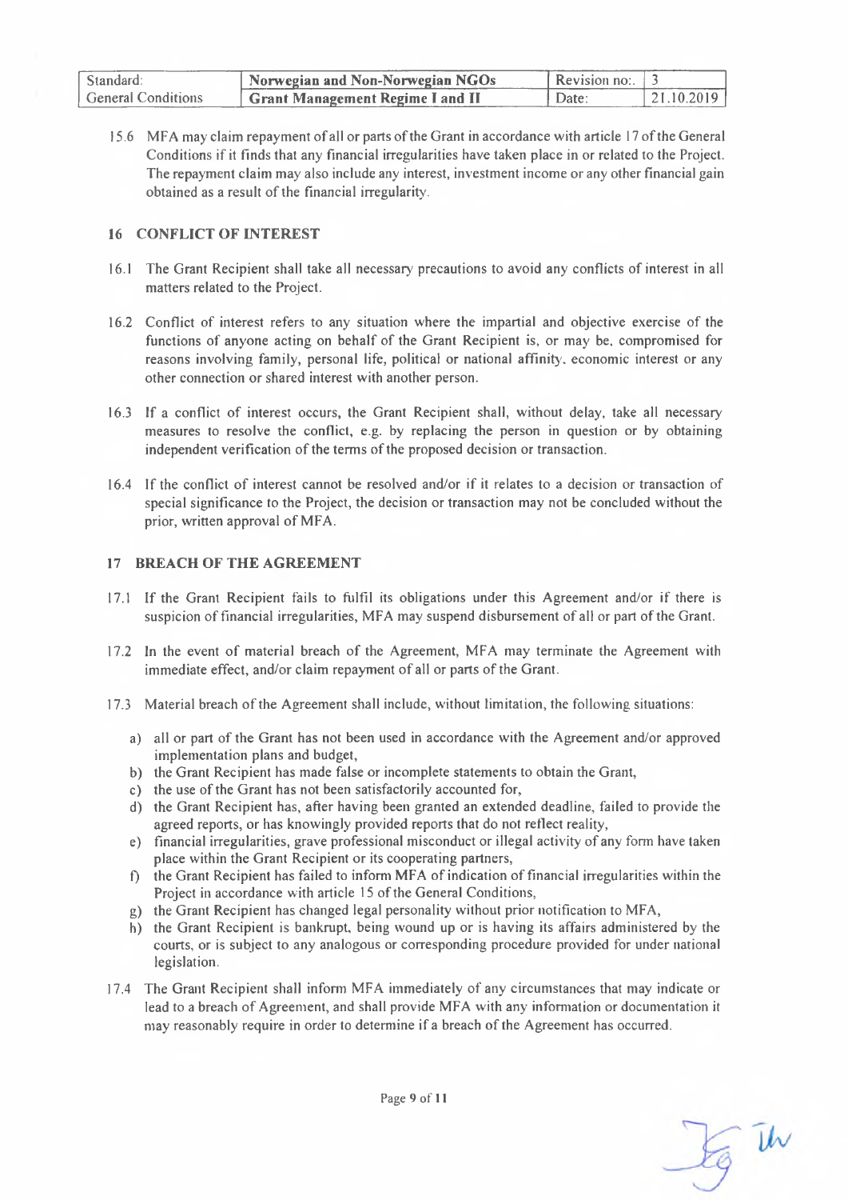| Standard:                 | Norwegian and Non-Norwegian NGOs        | Revision no: $\vert$ 3 |             |
|---------------------------|-----------------------------------------|------------------------|-------------|
| <b>General Conditions</b> | <b>Grant Management Regime I and II</b> | ` Date: \              | 121.10.2019 |

15.6 MFA may claim repayment of all or parts ofthe Grant in accordance with article <sup>17</sup> ofthe General Conditions if it finds that any financial irregularities have taken place in or related to the Project. The repayment claim may also include any interest, investment income or any other financial gain obtained as a result of the financial irregularity.

#### <span id="page-8-0"></span>**16 CONFLICT OF INTEREST**

- 16.1 The Grant Recipient shall take all necessary precautions to avoid any conflicts of interest in all matters related to the Project.
- 16.2 Conflict of interest refers to any situation where the impartial and objective exercise of the functions of anyone acting on behalf of the Grant Recipient is, or may be. compromised for reasons involving family, personal life, political or national affinity, economic interest or any other connection or shared interest with another person.
- 16.3 If a conflict of interest occurs, the Grant Recipient shall, without delay, take all necessary' measures to resolve the conflict, e.g. by replacing the person in question or by obtaining independent verification of the terms of the proposed decision or transaction.
- 16.4 If the conflict of interest cannot be resolved and/or if it relates to a decision or transaction of special significance to the Project, the decision or transaction may not be concluded without the prior, written approval of MFA.

#### <span id="page-8-1"></span>**17 BREACH OF THE AGREEMENT**

- 17.1 If the Grant Recipient fails to fulfil its obligations under this Agreement and/or if there is suspicion of financial irregularities, MFA may suspend disbursement of all or part ofthe Grant.
- 17.2 In the event of material breach of the Agreement, MFA may terminate the Agreement with immediate effect, and/or claim repayment of all or parts of the Grant.
- 17.3 Material breach of the Agreement shall include, without limitation, the following situations:
	- a) all or part of the Grant has not been used in accordance with the Agreement and/or approved implementation plans and budget,
	- b) the Grant Recipient has made false or incomplete statements to obtain the Grant,
	- c) the use of the Grant has not been satisfactorily accounted for,
	- d) the Grant Recipient has, after having been granted an extended deadline, failed to provide the agreed reports, or has knowingly provided reports that do not reflect reality,
	- e) financial irregularities, grave professional misconduct or illegal activity ofany form have taken place within the Grant Recipient or its cooperating partners,
	- f) the Grant Recipient has failed to inform MFA of indication offinancial irregularities within the Project in accordance with article 15 of the General Conditions,
	- g) the Grant Recipient has changed legal personality without prior notification to MFA,
	- h) the Grant Recipient is bankrupt, being wound up or is having its affairs administered by the courts, or is subject to any analogous or corresponding procedure provided for under national legislation.
- 17.4 The Grant Recipient shall inform MFA immediately of any circumstances that may indicate or lead to a breach of Agreement, and shall provide MFA with any information or documentation it may reasonably require in order to determine if a breach ofthe Agreement has occurred.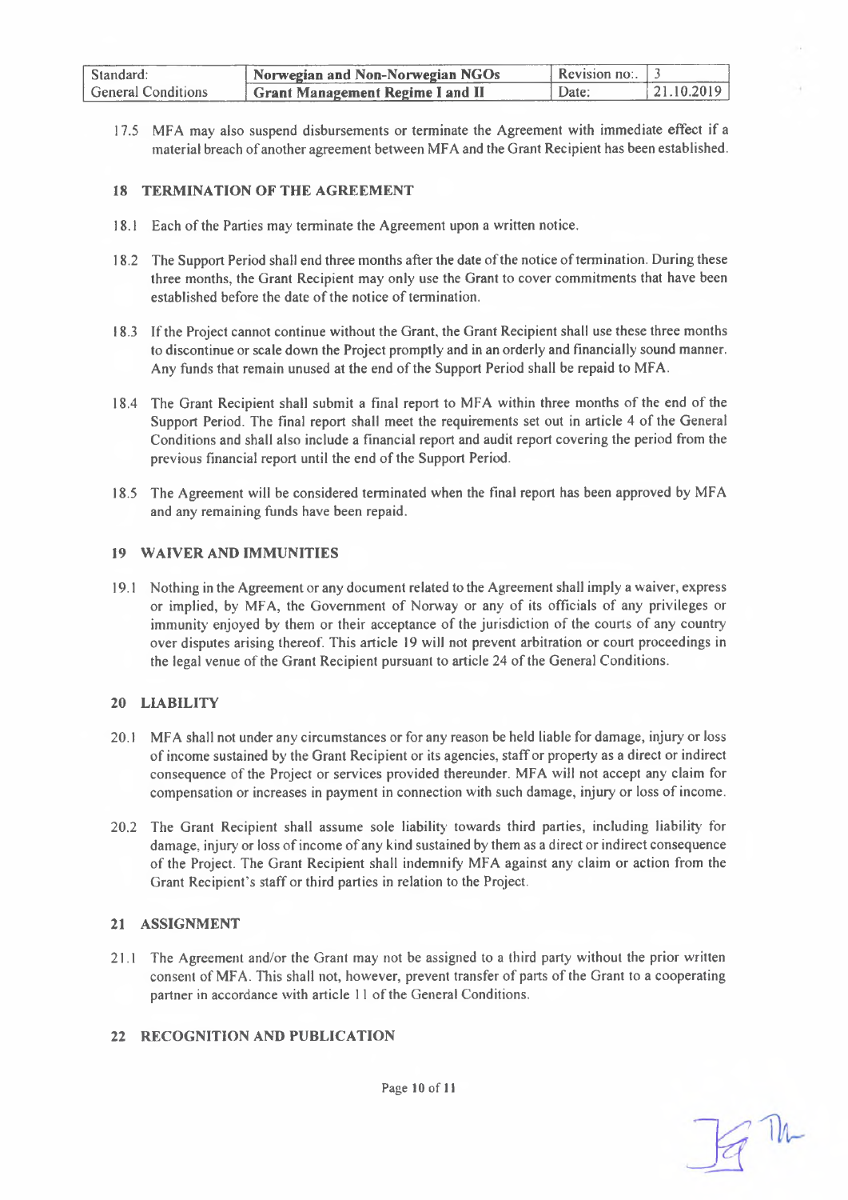| Standard:                 | Norwegian and Non-Norwegian NGOs              | Revision no: $\Box$ |                |
|---------------------------|-----------------------------------------------|---------------------|----------------|
| <b>General Conditions</b> | <sup>1</sup> Grant Management Regime I and II | Date:               | $-121.10.2019$ |

17.5 MFA may also suspend disbursements or terminate the Agreement with immediate effect if a material breach of another agreement between MFA and the Grant Recipient has been established.

#### <span id="page-9-0"></span>**18 TERMINATION OF THE AGREEMENT**

- 18.1 Each of the Parties may terminate the Agreement upon a written notice.
- 18.2 The Support Period shall end three months after the date of the notice of termination. During these three months, the Grant Recipient may only use the Grant to cover commitments that have been established before the date of the notice of termination.
- 18.3 Ifthe Project cannot continue without the Grant, the Grant Recipient shall use these three months to discontinue or scale down the Project promptly and in an orderly and financially sound manner. Any funds that remain unused at the end of the Support Period shall be repaid to MFA.
- 18.4 The Grant Recipient shall submit a final report to MFA within three months of the end of the Support Period. The final report shall meet the requirements set out in article 4 of the General Conditions and shall also include a financial report and audit report covering the period from the previous financial report until the end of the Support Period.
- 18.5 The Agreement will be considered terminated when the final report has been approved by MFA and any remaining funds have been repaid.

#### <span id="page-9-1"></span>**19 WAIVER AND IMMUNITIES**

19.1 Nothing in the Agreement or any document related to the Agreement shall imply a waiver, express or implied, by MFA, the Government of Norway or any of its officials of any privileges or immunity enjoyed by them or their acceptance of the jurisdiction of the courts of any country over disputes arising thereof. This article 19 will not prevent arbitration or court proceedings in the legal venue of the Grant Recipient pursuant to article 24 of the General Conditions.

#### <span id="page-9-2"></span>**20 LIABILITY**

- 20.1 MFA shall not under any circumstances or for any reason be held liable for damage, injury' or loss ofincome sustained by the Grant Recipient or its agencies, staff or property as a direct or indirect consequence of the Project or services provided thereunder. MFA will not accept any claim for compensation or increases in payment in connection with such damage, injury or loss of income.
- 20.2 The Grant Recipient shall assume sole liability towards third parties, including liability for damage, injury or loss ofincome ofany kind sustained by them as a direct or indirect consequence of the Project. The Grant Recipient shall indemnify MFA against any claim or action from the Grant Recipient's staff or third parties in relation to the Project.

#### <span id="page-9-3"></span>**21 ASSIGNMENT**

21.1 The Agreement and/or the Grant may not be assigned to a third party without the prior written consent of MFA. This shall not, however, prevent transfer of parts of the Grant to a cooperating partner in accordance with article 11 of the General Conditions.

#### <span id="page-9-4"></span>**22 RECOGNITION AND PUBLICATION**

 $=$  Th